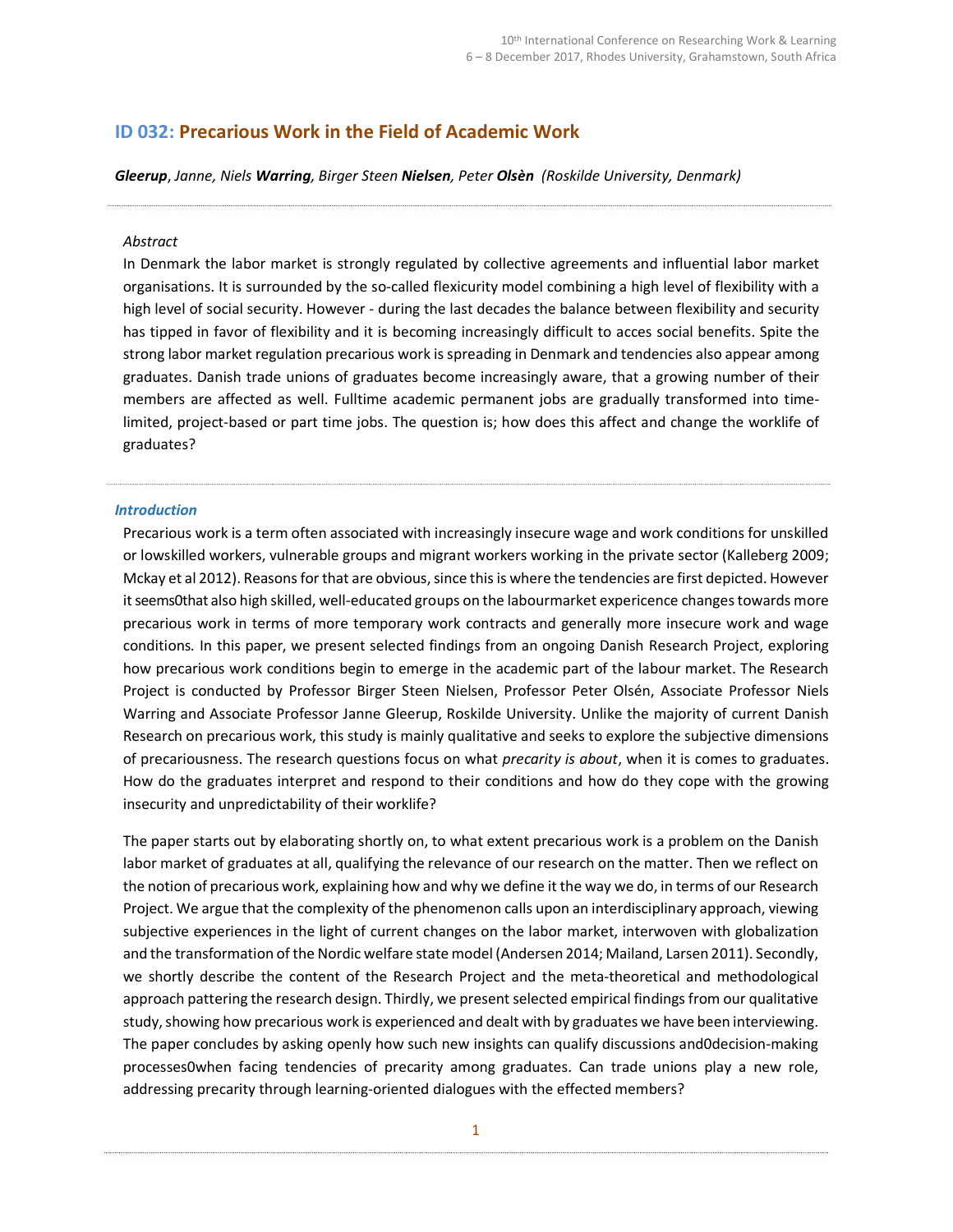# ID 032: Precarious Work in the Field of Academic Work

Gleerup, Janne, Niels Warring, Birger Steen Nielsen, Peter Olsèn (Roskilde University, Denmark)

#### Abstract

In Denmark the labor market is strongly regulated by collective agreements and influential labor market organisations. It is surrounded by the so-called flexicurity model combining a high level of flexibility with a high level of social security. However - during the last decades the balance between flexibility and security has tipped in favor of flexibility and it is becoming increasingly difficult to acces social benefits. Spite the strong labor market regulation precarious work is spreading in Denmark and tendencies also appear among graduates. Danish trade unions of graduates become increasingly aware, that a growing number of their members are affected as well. Fulltime academic permanent jobs are gradually transformed into timelimited, project-based or part time jobs. The question is; how does this affect and change the worklife of graduates?

#### Introduction

Precarious work is a term often associated with increasingly insecure wage and work conditions for unskilled or lowskilled workers, vulnerable groups and migrant workers working in the private sector (Kalleberg 2009; Mckay et al 2012). Reasons for that are obvious, since this is where the tendencies are first depicted. However it seems0that also high skilled, well-educated groups on the labourmarket expericence changes towards more precarious work in terms of more temporary work contracts and generally more insecure work and wage conditions. In this paper, we present selected findings from an ongoing Danish Research Project, exploring how precarious work conditions begin to emerge in the academic part of the labour market. The Research Project is conducted by Professor Birger Steen Nielsen, Professor Peter Olsén, Associate Professor Niels Warring and Associate Professor Janne Gleerup, Roskilde University. Unlike the majority of current Danish Research on precarious work, this study is mainly qualitative and seeks to explore the subjective dimensions of precariousness. The research questions focus on what *precarity is about*, when it is comes to graduates. How do the graduates interpret and respond to their conditions and how do they cope with the growing insecurity and unpredictability of their worklife?

The paper starts out by elaborating shortly on, to what extent precarious work is a problem on the Danish labor market of graduates at all, qualifying the relevance of our research on the matter. Then we reflect on the notion of precarious work, explaining how and why we define it the way we do, in terms of our Research Project. We argue that the complexity of the phenomenon calls upon an interdisciplinary approach, viewing subjective experiences in the light of current changes on the labor market, interwoven with globalization and the transformation of the Nordic welfare state model (Andersen 2014; Mailand, Larsen 2011). Secondly, we shortly describe the content of the Research Project and the meta-theoretical and methodological approach pattering the research design. Thirdly, we present selected empirical findings from our qualitative study, showing how precarious work is experienced and dealt with by graduates we have been interviewing. The paper concludes by asking openly how such new insights can qualify discussions and0decision-making processes0when facing tendencies of precarity among graduates. Can trade unions play a new role, addressing precarity through learning-oriented dialogues with the effected members?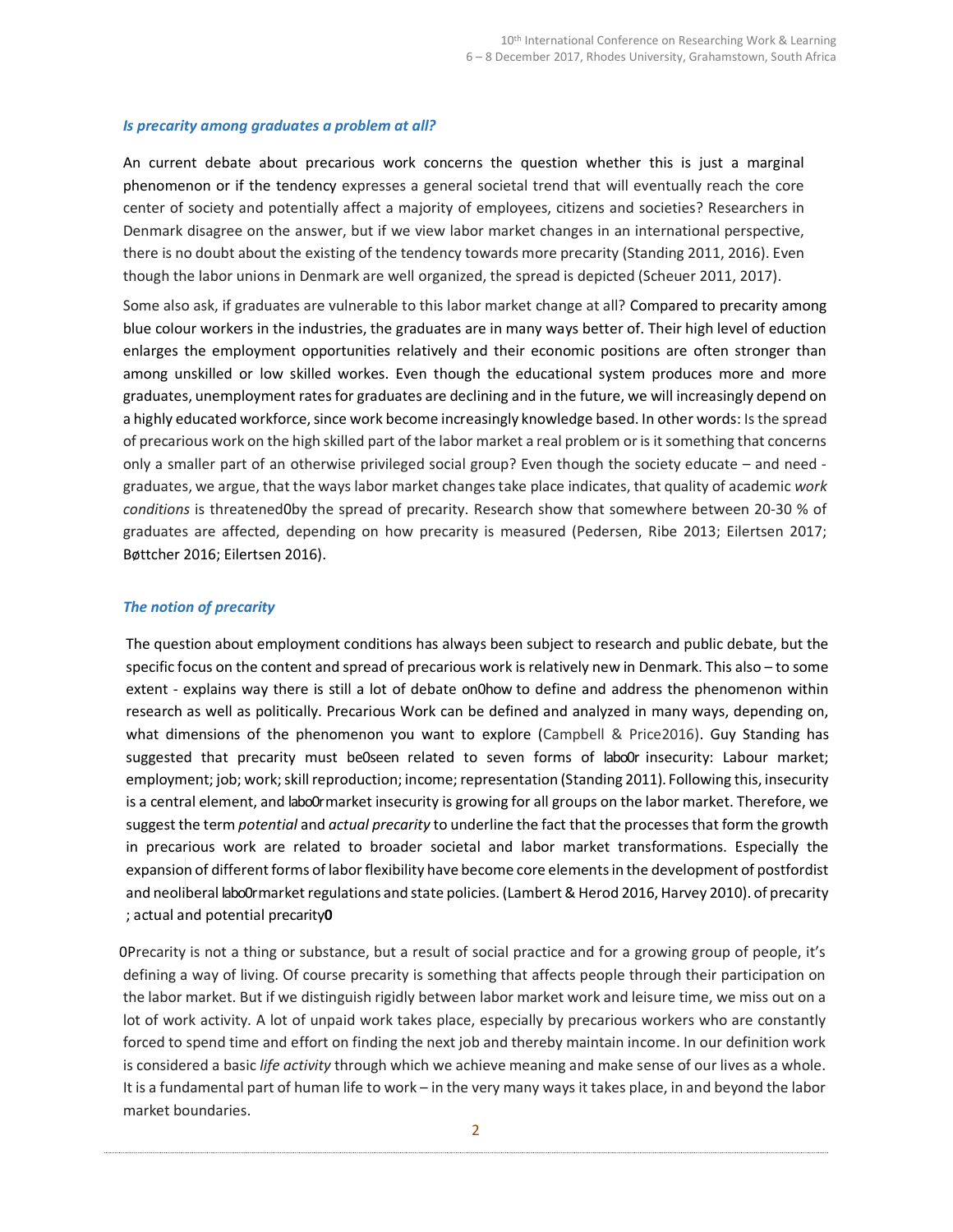### Is precarity among graduates a problem at all?

An current debate about precarious work concerns the question whether this is just a marginal phenomenon or if the tendency expresses a general societal trend that will eventually reach the core center of society and potentially affect a majority of employees, citizens and societies? Researchers in Denmark disagree on the answer, but if we view labor market changes in an international perspective, there is no doubt about the existing of the tendency towards more precarity (Standing 2011, 2016). Even though the labor unions in Denmark are well organized, the spread is depicted (Scheuer 2011, 2017).

Some also ask, if graduates are vulnerable to this labor market change at all? Compared to precarity among blue colour workers in the industries, the graduates are in many ways better of. Their high level of eduction enlarges the employment opportunities relatively and their economic positions are often stronger than among unskilled or low skilled workes. Even though the educational system produces more and more graduates, unemployment rates for graduates are declining and in the future, we will increasingly depend on a highly educated workforce, since work become increasingly knowledge based. In other words: Is the spread of precarious work on the high skilled part of the labor market a real problem or is it something that concerns only a smaller part of an otherwise privileged social group? Even though the society educate – and need graduates, we argue, that the ways labor market changes take place indicates, that quality of academic work conditions is threatened0by the spread of precarity. Research show that somewhere between 20-30 % of graduates are affected, depending on how precarity is measured (Pedersen, Ribe 2013; Eilertsen 2017; Bøttcher 2016; Eilertsen 2016).

### The notion of precarity

The question about employment conditions has always been subject to research and public debate, but the specific focus on the content and spread of precarious work is relatively new in Denmark. This also – to some extent - explains way there is still a lot of debate on0how to define and address the phenomenon within research as well as politically. Precarious Work can be defined and analyzed in many ways, depending on, what dimensions of the phenomenon you want to explore (Campbell & Price2016). Guy Standing has suggested that precarity must be0seen related to seven forms of labo0r insecurity: Labour market; employment; job; work; skill reproduction; income; representation (Standing 2011). Following this, insecurity is a central element, and labo0r market insecurity is growing for all groups on the labor market. Therefore, we suggest the term *potential* and *actual precarity* to underline the fact that the processes that form the growth in precarious work are related to broader societal and labor market transformations. Especially the expansion of different forms of labor flexibility have become core elements in the development of postfordist and neoliberal labo0rmarket regulations and state policies. (Lambert & Herod 2016, Harvey 2010). of precarity ; actual and potential precarity0

0Precarity is not a thing or substance, but a result of social practice and for a growing group of people, it's defining a way of living. Of course precarity is something that affects people through their participation on the labor market. But if we distinguish rigidly between labor market work and leisure time, we miss out on a lot of work activity. A lot of unpaid work takes place, especially by precarious workers who are constantly forced to spend time and effort on finding the next job and thereby maintain income. In our definition work is considered a basic life activity through which we achieve meaning and make sense of our lives as a whole. It is a fundamental part of human life to work – in the very many ways it takes place, in and beyond the labor market boundaries.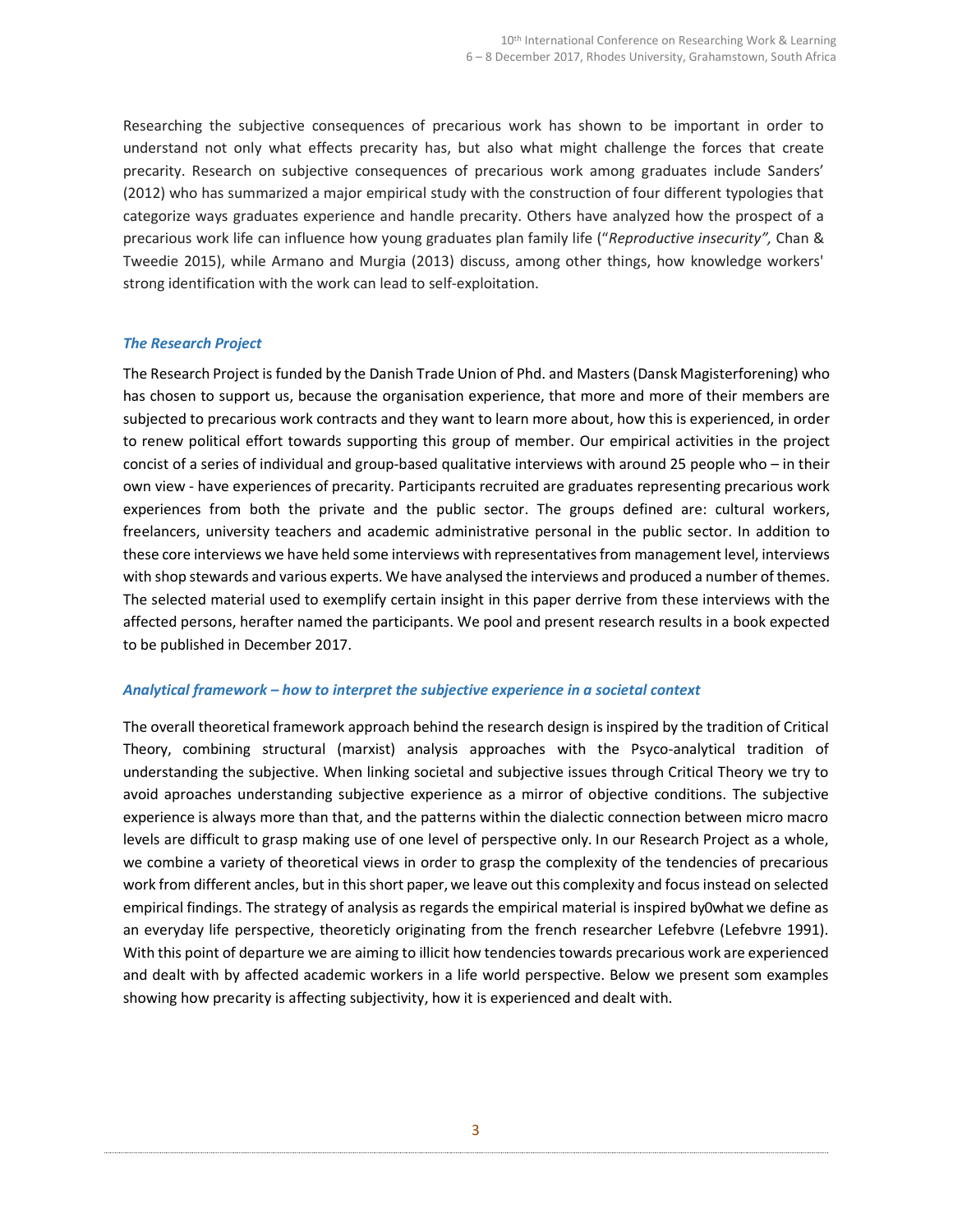Researching the subjective consequences of precarious work has shown to be important in order to understand not only what effects precarity has, but also what might challenge the forces that create precarity. Research on subjective consequences of precarious work among graduates include Sanders' (2012) who has summarized a major empirical study with the construction of four different typologies that categorize ways graduates experience and handle precarity. Others have analyzed how the prospect of a precarious work life can influence how young graduates plan family life ("Reproductive insecurity", Chan & Tweedie 2015), while Armano and Murgia (2013) discuss, among other things, how knowledge workers' strong identification with the work can lead to self-exploitation.

### The Research Project

The Research Project is funded by the Danish Trade Union of Phd. and Masters (Dansk Magisterforening) who has chosen to support us, because the organisation experience, that more and more of their members are subjected to precarious work contracts and they want to learn more about, how this is experienced, in order to renew political effort towards supporting this group of member. Our empirical activities in the project concist of a series of individual and group-based qualitative interviews with around 25 people who – in their own view - have experiences of precarity. Participants recruited are graduates representing precarious work experiences from both the private and the public sector. The groups defined are: cultural workers, freelancers, university teachers and academic administrative personal in the public sector. In addition to these core interviews we have held some interviews with representatives from management level, interviews with shop stewards and various experts. We have analysed the interviews and produced a number of themes. The selected material used to exemplify certain insight in this paper derrive from these interviews with the affected persons, herafter named the participants. We pool and present research results in a book expected to be published in December 2017.

### Analytical framework – how to interpret the subjective experience in a societal context

The overall theoretical framework approach behind the research design is inspired by the tradition of Critical Theory, combining structural (marxist) analysis approaches with the Psyco-analytical tradition of understanding the subjective. When linking societal and subjective issues through Critical Theory we try to avoid aproaches understanding subjective experience as a mirror of objective conditions. The subjective experience is always more than that, and the patterns within the dialectic connection between micro macro levels are difficult to grasp making use of one level of perspective only. In our Research Project as a whole, we combine a variety of theoretical views in order to grasp the complexity of the tendencies of precarious work from different ancles, but in this short paper, we leave out this complexity and focus instead on selected empirical findings. The strategy of analysis as regards the empirical material is inspired by0what we define as an everyday life perspective, theoreticly originating from the french researcher Lefebvre (Lefebvre 1991). With this point of departure we are aiming to illicit how tendencies towards precarious work are experienced and dealt with by affected academic workers in a life world perspective. Below we present som examples showing how precarity is affecting subjectivity, how it is experienced and dealt with.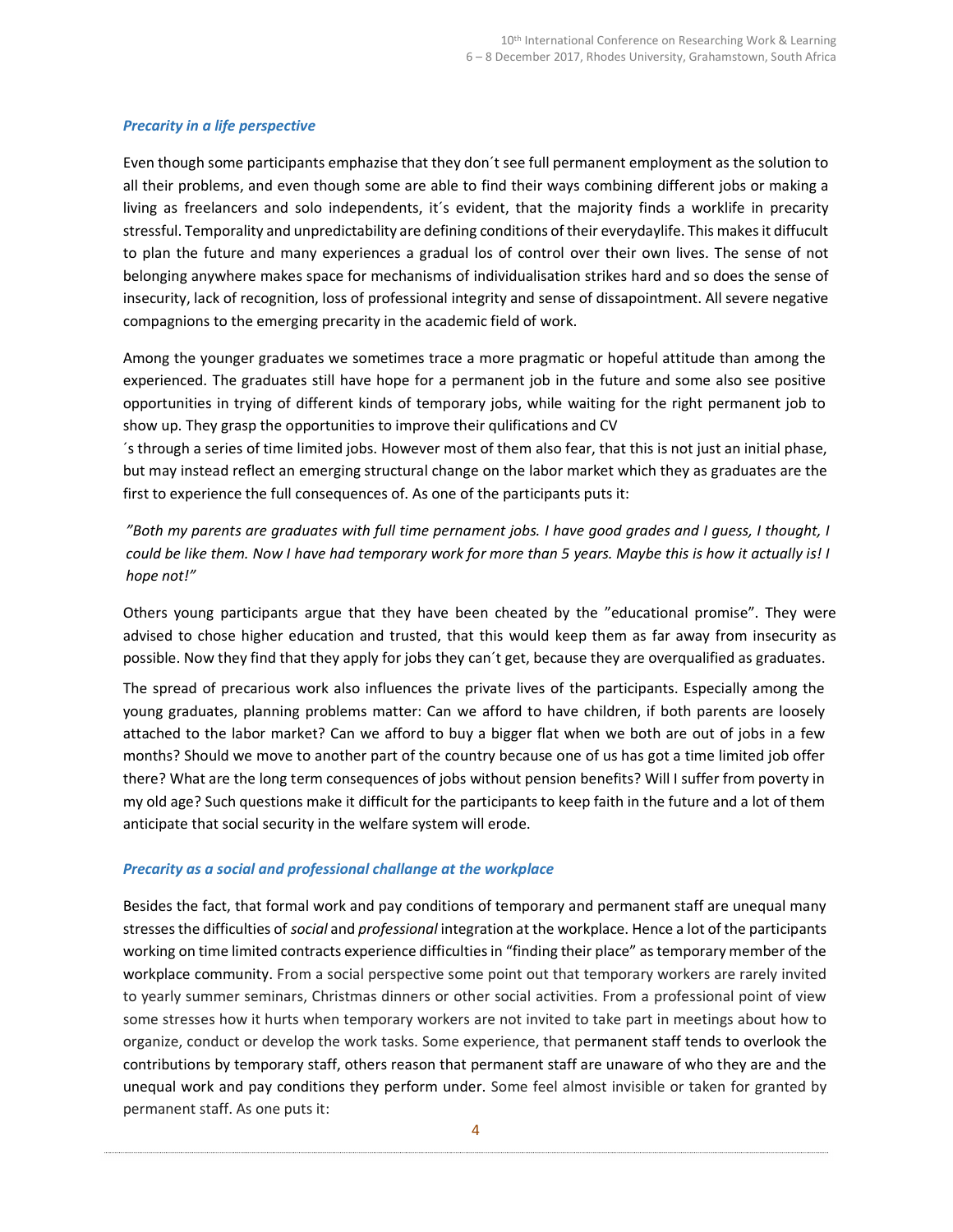## Precarity in a life perspective

Even though some participants emphazise that they don´t see full permanent employment as the solution to all their problems, and even though some are able to find their ways combining different jobs or making a living as freelancers and solo independents, it´s evident, that the majority finds a worklife in precarity stressful. Temporality and unpredictability are defining conditions of their everydaylife. This makes it diffucult to plan the future and many experiences a gradual los of control over their own lives. The sense of not belonging anywhere makes space for mechanisms of individualisation strikes hard and so does the sense of insecurity, lack of recognition, loss of professional integrity and sense of dissapointment. All severe negative compagnions to the emerging precarity in the academic field of work.

Among the younger graduates we sometimes trace a more pragmatic or hopeful attitude than among the experienced. The graduates still have hope for a permanent job in the future and some also see positive opportunities in trying of different kinds of temporary jobs, while waiting for the right permanent job to show up. They grasp the opportunities to improve their qulifications and CV

´s through a series of time limited jobs. However most of them also fear, that this is not just an initial phase, but may instead reflect an emerging structural change on the labor market which they as graduates are the first to experience the full consequences of. As one of the participants puts it:

"Both my parents are graduates with full time pernament jobs. I have good grades and I guess, I thought, I could be like them. Now I have had temporary work for more than 5 years. Maybe this is how it actually is! I hope not!"

Others young participants argue that they have been cheated by the "educational promise". They were advised to chose higher education and trusted, that this would keep them as far away from insecurity as possible. Now they find that they apply for jobs they can´t get, because they are overqualified as graduates.

The spread of precarious work also influences the private lives of the participants. Especially among the young graduates, planning problems matter: Can we afford to have children, if both parents are loosely attached to the labor market? Can we afford to buy a bigger flat when we both are out of jobs in a few months? Should we move to another part of the country because one of us has got a time limited job offer there? What are the long term consequences of jobs without pension benefits? Will I suffer from poverty in my old age? Such questions make it difficult for the participants to keep faith in the future and a lot of them anticipate that social security in the welfare system will erode.

## Precarity as a social and professional challange at the workplace

Besides the fact, that formal work and pay conditions of temporary and permanent staff are unequal many stresses the difficulties of social and professional integration at the workplace. Hence a lot of the participants working on time limited contracts experience difficulties in "finding their place" as temporary member of the workplace community. From a social perspective some point out that temporary workers are rarely invited to yearly summer seminars, Christmas dinners or other social activities. From a professional point of view some stresses how it hurts when temporary workers are not invited to take part in meetings about how to organize, conduct or develop the work tasks. Some experience, that permanent staff tends to overlook the contributions by temporary staff, others reason that permanent staff are unaware of who they are and the unequal work and pay conditions they perform under. Some feel almost invisible or taken for granted by permanent staff. As one puts it: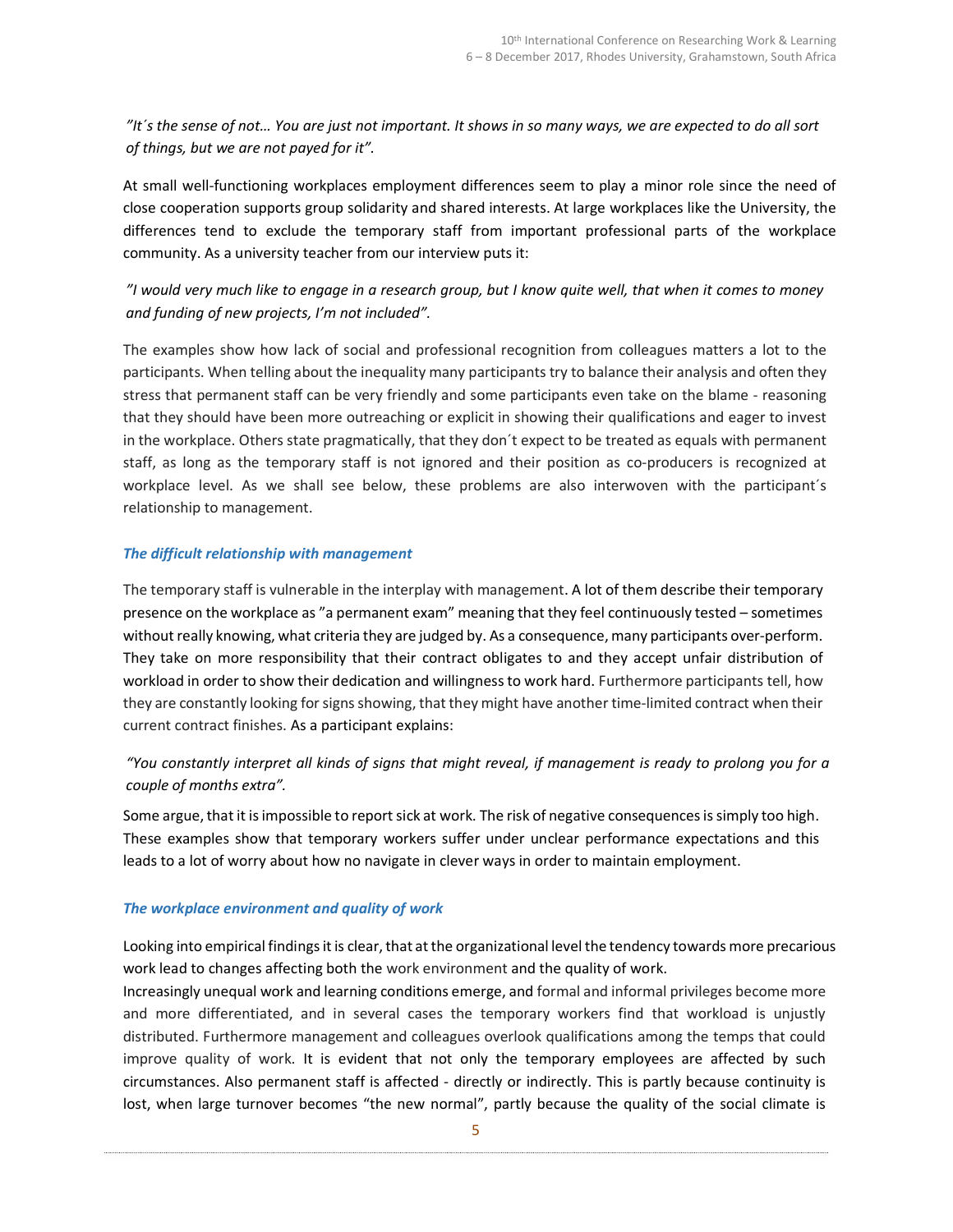"It´s the sense of not… You are just not important. It shows in so many ways, we are expected to do all sort of things, but we are not payed for it".

At small well-functioning workplaces employment differences seem to play a minor role since the need of close cooperation supports group solidarity and shared interests. At large workplaces like the University, the differences tend to exclude the temporary staff from important professional parts of the workplace community. As a university teacher from our interview puts it:

# "I would very much like to engage in a research group, but I know quite well, that when it comes to money and funding of new projects, I'm not included".

The examples show how lack of social and professional recognition from colleagues matters a lot to the participants. When telling about the inequality many participants try to balance their analysis and often they stress that permanent staff can be very friendly and some participants even take on the blame - reasoning that they should have been more outreaching or explicit in showing their qualifications and eager to invest in the workplace. Others state pragmatically, that they don´t expect to be treated as equals with permanent staff, as long as the temporary staff is not ignored and their position as co-producers is recognized at workplace level. As we shall see below, these problems are also interwoven with the participant´s relationship to management.

## The difficult relationship with management

The temporary staff is vulnerable in the interplay with management. A lot of them describe their temporary presence on the workplace as "a permanent exam" meaning that they feel continuously tested – sometimes without really knowing, what criteria they are judged by. As a consequence, many participants over-perform. They take on more responsibility that their contract obligates to and they accept unfair distribution of workload in order to show their dedication and willingness to work hard. Furthermore participants tell, how they are constantly looking for signs showing, that they might have another time-limited contract when their current contract finishes. As a participant explains:

# "You constantly interpret all kinds of signs that might reveal, if management is ready to prolong you for a couple of months extra".

Some argue, that it is impossible to report sick at work. The risk of negative consequences is simply too high. These examples show that temporary workers suffer under unclear performance expectations and this leads to a lot of worry about how no navigate in clever ways in order to maintain employment.

## The workplace environment and quality of work

Looking into empirical findings it is clear, that at the organizational level the tendency towards more precarious work lead to changes affecting both the work environment and the quality of work.

Increasingly unequal work and learning conditions emerge, and formal and informal privileges become more and more differentiated, and in several cases the temporary workers find that workload is unjustly distributed. Furthermore management and colleagues overlook qualifications among the temps that could improve quality of work. It is evident that not only the temporary employees are affected by such circumstances. Also permanent staff is affected - directly or indirectly. This is partly because continuity is lost, when large turnover becomes "the new normal", partly because the quality of the social climate is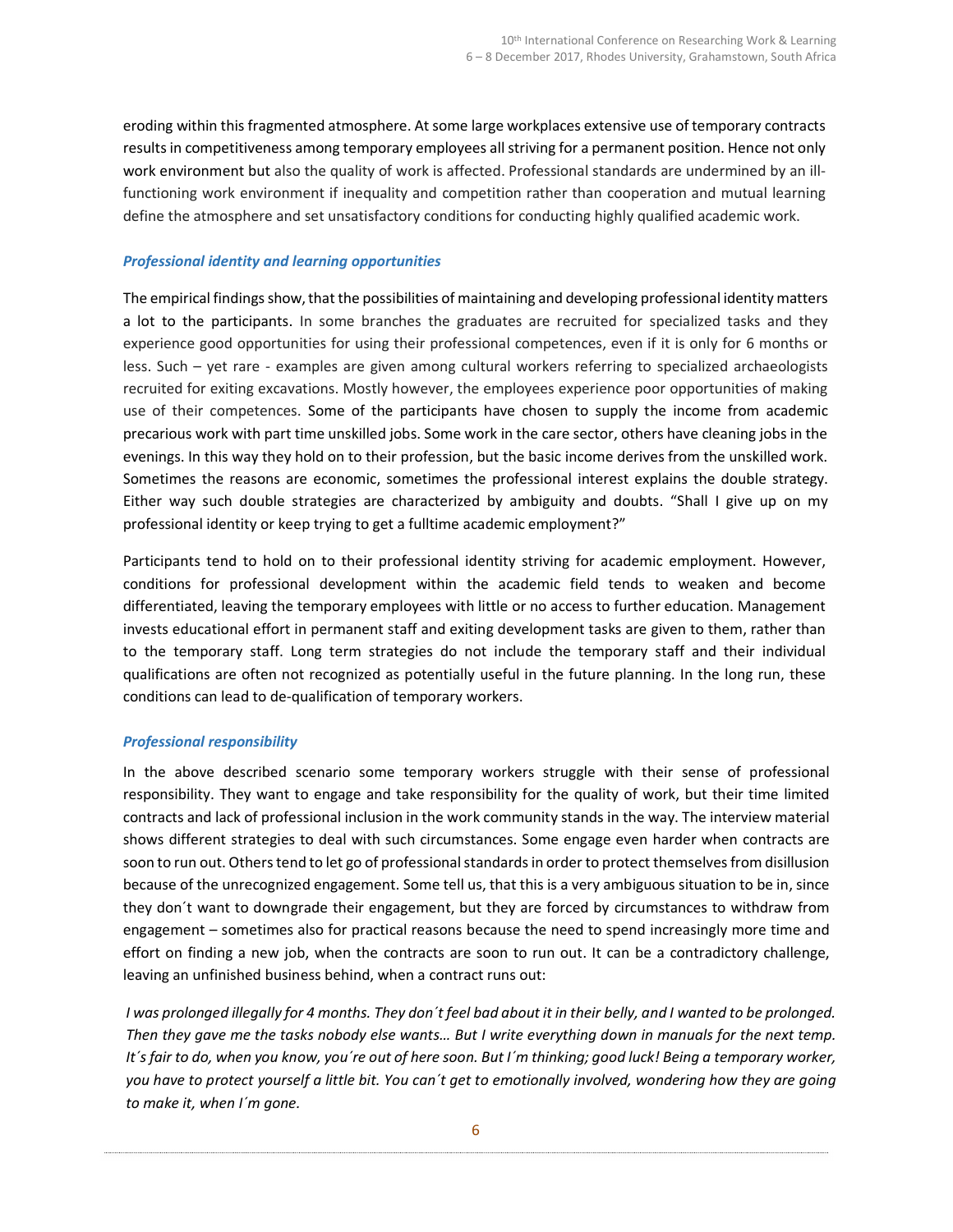eroding within this fragmented atmosphere. At some large workplaces extensive use of temporary contracts results in competitiveness among temporary employees all striving for a permanent position. Hence not only work environment but also the quality of work is affected. Professional standards are undermined by an illfunctioning work environment if inequality and competition rather than cooperation and mutual learning define the atmosphere and set unsatisfactory conditions for conducting highly qualified academic work.

## Professional identity and learning opportunities

The empirical findings show, that the possibilities of maintaining and developing professional identity matters a lot to the participants. In some branches the graduates are recruited for specialized tasks and they experience good opportunities for using their professional competences, even if it is only for 6 months or less. Such – yet rare - examples are given among cultural workers referring to specialized archaeologists recruited for exiting excavations. Mostly however, the employees experience poor opportunities of making use of their competences. Some of the participants have chosen to supply the income from academic precarious work with part time unskilled jobs. Some work in the care sector, others have cleaning jobs in the evenings. In this way they hold on to their profession, but the basic income derives from the unskilled work. Sometimes the reasons are economic, sometimes the professional interest explains the double strategy. Either way such double strategies are characterized by ambiguity and doubts. "Shall I give up on my professional identity or keep trying to get a fulltime academic employment?"

Participants tend to hold on to their professional identity striving for academic employment. However, conditions for professional development within the academic field tends to weaken and become differentiated, leaving the temporary employees with little or no access to further education. Management invests educational effort in permanent staff and exiting development tasks are given to them, rather than to the temporary staff. Long term strategies do not include the temporary staff and their individual qualifications are often not recognized as potentially useful in the future planning. In the long run, these conditions can lead to de-qualification of temporary workers.

### Professional responsibility

In the above described scenario some temporary workers struggle with their sense of professional responsibility. They want to engage and take responsibility for the quality of work, but their time limited contracts and lack of professional inclusion in the work community stands in the way. The interview material shows different strategies to deal with such circumstances. Some engage even harder when contracts are soon to run out. Others tend to let go of professional standards in order to protect themselves from disillusion because of the unrecognized engagement. Some tell us, that this is a very ambiguous situation to be in, since they don´t want to downgrade their engagement, but they are forced by circumstances to withdraw from engagement – sometimes also for practical reasons because the need to spend increasingly more time and effort on finding a new job, when the contracts are soon to run out. It can be a contradictory challenge, leaving an unfinished business behind, when a contract runs out:

I was prolonged illegally for 4 months. They don´t feel bad about it in their belly, and I wanted to be prolonged. Then they gave me the tasks nobody else wants… But I write everything down in manuals for the next temp. It´s fair to do, when you know, you´re out of here soon. But I´m thinking; good luck! Being a temporary worker, you have to protect yourself a little bit. You can´t get to emotionally involved, wondering how they are going to make it, when I´m gone.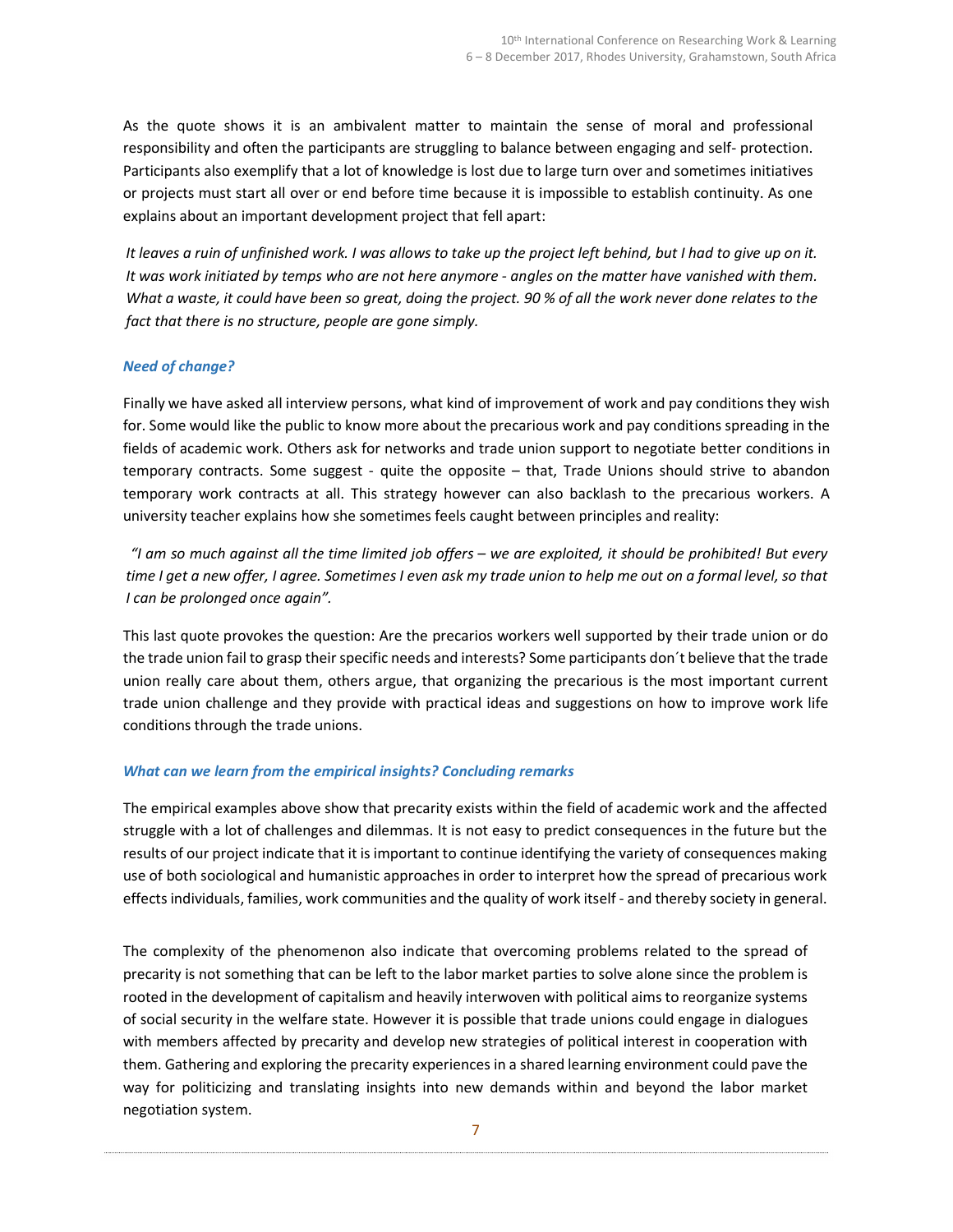As the quote shows it is an ambivalent matter to maintain the sense of moral and professional responsibility and often the participants are struggling to balance between engaging and self- protection. Participants also exemplify that a lot of knowledge is lost due to large turn over and sometimes initiatives or projects must start all over or end before time because it is impossible to establish continuity. As one explains about an important development project that fell apart:

It leaves a ruin of unfinished work. I was allows to take up the project left behind, but I had to give up on it. It was work initiated by temps who are not here anymore - angles on the matter have vanished with them. What a waste, it could have been so great, doing the project. 90 % of all the work never done relates to the fact that there is no structure, people are gone simply.

## Need of change?

Finally we have asked all interview persons, what kind of improvement of work and pay conditions they wish for. Some would like the public to know more about the precarious work and pay conditions spreading in the fields of academic work. Others ask for networks and trade union support to negotiate better conditions in temporary contracts. Some suggest - quite the opposite – that, Trade Unions should strive to abandon temporary work contracts at all. This strategy however can also backlash to the precarious workers. A university teacher explains how she sometimes feels caught between principles and reality:

"I am so much against all the time limited job offers – we are exploited, it should be prohibited! But every time I get a new offer, I agree. Sometimes I even ask my trade union to help me out on a formal level, so that I can be prolonged once again".

This last quote provokes the question: Are the precarios workers well supported by their trade union or do the trade union fail to grasp their specific needs and interests? Some participants don´t believe that the trade union really care about them, others argue, that organizing the precarious is the most important current trade union challenge and they provide with practical ideas and suggestions on how to improve work life conditions through the trade unions.

## What can we learn from the empirical insights? Concluding remarks

The empirical examples above show that precarity exists within the field of academic work and the affected struggle with a lot of challenges and dilemmas. It is not easy to predict consequences in the future but the results of our project indicate that it is important to continue identifying the variety of consequences making use of both sociological and humanistic approaches in order to interpret how the spread of precarious work effects individuals, families, work communities and the quality of work itself - and thereby society in general.

The complexity of the phenomenon also indicate that overcoming problems related to the spread of precarity is not something that can be left to the labor market parties to solve alone since the problem is rooted in the development of capitalism and heavily interwoven with political aims to reorganize systems of social security in the welfare state. However it is possible that trade unions could engage in dialogues with members affected by precarity and develop new strategies of political interest in cooperation with them. Gathering and exploring the precarity experiences in a shared learning environment could pave the way for politicizing and translating insights into new demands within and beyond the labor market negotiation system.